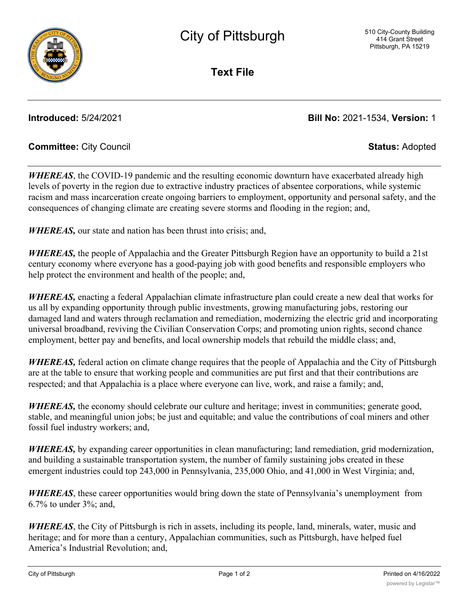**Text File**

**Introduced:** 5/24/2021 **Bill No:** 2021-1534, **Version:** 1

## **Committee:** City Council **Status:** Adopted

*WHEREAS*, the COVID-19 pandemic and the resulting economic downturn have exacerbated already high levels of poverty in the region due to extractive industry practices of absentee corporations, while systemic racism and mass incarceration create ongoing barriers to employment, opportunity and personal safety, and the consequences of changing climate are creating severe storms and flooding in the region; and,

*WHEREAS,* our state and nation has been thrust into crisis; and,

*WHEREAS,* the people of Appalachia and the Greater Pittsburgh Region have an opportunity to build a 21st century economy where everyone has a good-paying job with good benefits and responsible employers who help protect the environment and health of the people; and,

*WHEREAS,* enacting a federal Appalachian climate infrastructure plan could create a new deal that works for us all by expanding opportunity through public investments, growing manufacturing jobs, restoring our damaged land and waters through reclamation and remediation, modernizing the electric grid and incorporating universal broadband, reviving the Civilian Conservation Corps; and promoting union rights, second chance employment, better pay and benefits, and local ownership models that rebuild the middle class; and,

*WHEREAS,* federal action on climate change requires that the people of Appalachia and the City of Pittsburgh are at the table to ensure that working people and communities are put first and that their contributions are respected; and that Appalachia is a place where everyone can live, work, and raise a family; and,

*WHEREAS*, the economy should celebrate our culture and heritage; invest in communities; generate good, stable, and meaningful union jobs; be just and equitable; and value the contributions of coal miners and other fossil fuel industry workers; and,

*WHEREAS*, by expanding career opportunities in clean manufacturing; land remediation, grid modernization, and building a sustainable transportation system, the number of family sustaining jobs created in these emergent industries could top 243,000 in Pennsylvania, 235,000 Ohio, and 41,000 in West Virginia; and,

*WHEREAS*, these career opportunities would bring down the state of Pennsylvania's unemployment from 6.7% to under 3%; and,

*WHEREAS*, the City of Pittsburgh is rich in assets, including its people, land, minerals, water, music and heritage; and for more than a century, Appalachian communities, such as Pittsburgh, have helped fuel America's Industrial Revolution; and,